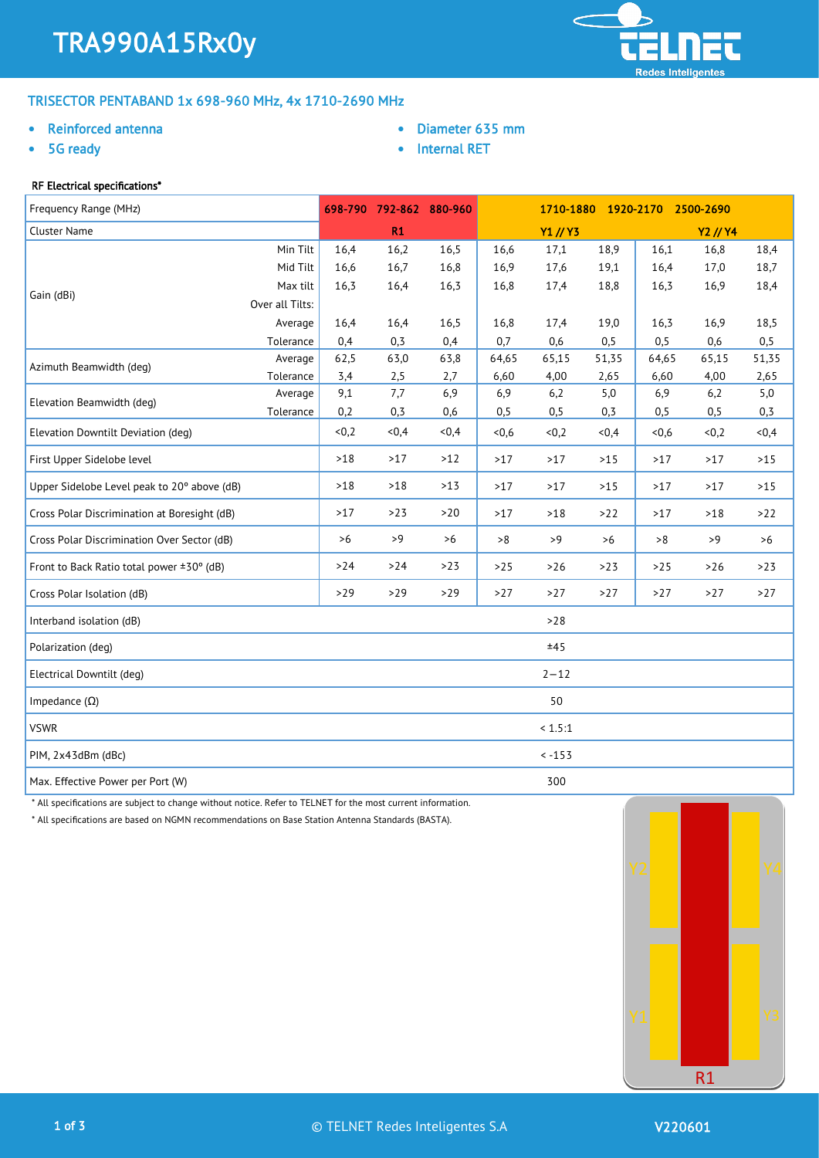

# TRISECTOR PENTABAND 1x 698-960 MHz, 4x 1710-2690 MHz

## • Reinforced antenna

5G ready

- Diameter 635 mm
- Internal RET

# RF Electrical specifications\*

| Frequency Range (MHz)                        |                 |       | 698-790 792-862 880-960 |       | 1710-1880 1920-2170 2500-2690 |          |       |       |          |       |
|----------------------------------------------|-----------------|-------|-------------------------|-------|-------------------------------|----------|-------|-------|----------|-------|
| <b>Cluster Name</b>                          |                 |       | R1                      |       |                               | Y1 // Y3 |       |       | Y2 // Y4 |       |
|                                              | Min Tilt        | 16,4  | 16,2                    | 16,5  | 16,6                          | 17,1     | 18,9  | 16,1  | 16,8     | 18,4  |
|                                              | Mid Tilt        | 16,6  | 16,7                    | 16,8  | 16,9                          | 17,6     | 19,1  | 16,4  | 17,0     | 18,7  |
| Gain (dBi)                                   | Max tilt        | 16,3  | 16,4                    | 16,3  | 16,8                          | 17,4     | 18,8  | 16,3  | 16,9     | 18,4  |
|                                              | Over all Tilts: |       |                         |       |                               |          |       |       |          |       |
|                                              | Average         | 16,4  | 16,4                    | 16,5  | 16,8                          | 17,4     | 19,0  | 16,3  | 16,9     | 18,5  |
|                                              | Tolerance       | 0,4   | 0,3                     | 0,4   | 0,7                           | 0,6      | 0, 5  | 0, 5  | 0,6      | 0,5   |
| Azimuth Beamwidth (deg)                      | Average         | 62,5  | 63,0                    | 63,8  | 64,65                         | 65,15    | 51,35 | 64,65 | 65,15    | 51,35 |
|                                              | Tolerance       | 3,4   | 2,5                     | 2,7   | 6,60                          | 4,00     | 2,65  | 6,60  | 4,00     | 2,65  |
| Elevation Beamwidth (deg)                    | Average         | 9,1   | 7,7                     | 6,9   | 6,9                           | 6,2      | 5,0   | 6,9   | 6,2      | 5,0   |
|                                              | Tolerance       | 0,2   | 0,3                     | 0,6   | 0,5                           | 0,5      | 0,3   | 0, 5  | 0,5      | 0, 3  |
| Elevation Downtilt Deviation (deg)           |                 | &0,2  | <0,4                    | <0,4  | <0.6                          | <0,2     | <0,4  | <0.6  | < 0, 2   | <0,4  |
| First Upper Sidelobe level                   |                 | $>18$ | >17                     | $>12$ | >17                           | >17      | $>15$ | >17   | >17      | $>15$ |
| Upper Sidelobe Level peak to 20° above (dB)  |                 | $>18$ | $>18$                   | $>13$ | $>17$                         | >17      | $>15$ | >17   | >17      | $>15$ |
| Cross Polar Discrimination at Boresight (dB) |                 | >17   | $>23$                   | >20   | $>17$                         | $>18$    | >22   | $>17$ | $>18$    | >22   |
| Cross Polar Discrimination Over Sector (dB)  |                 | >6    | >9                      | >6    | >8                            | >9       | $>6$  | >8    | >9       | >6    |
| Front to Back Ratio total power ±30° (dB)    |                 | $>24$ | $>24$                   | >23   | $>25$                         | $>26$    | $>23$ | $>25$ | $>26$    | >23   |
| Cross Polar Isolation (dB)                   |                 | $>29$ | $>29$                   | $>29$ | $>27$                         | >27      | $>27$ | >27   | $>27$    | >27   |
| Interband isolation (dB)                     |                 |       |                         |       |                               | $>28$    |       |       |          |       |
| Polarization (deg)                           |                 |       |                         |       |                               | ±45      |       |       |          |       |
| Electrical Downtilt (deg)                    |                 |       |                         |       |                               | $2 - 12$ |       |       |          |       |
| Impedance $(\Omega)$                         |                 |       |                         |       |                               | 50       |       |       |          |       |
| <b>VSWR</b>                                  |                 |       |                         |       |                               | < 1.5:1  |       |       |          |       |
| PIM, 2x43dBm (dBc)                           |                 |       |                         |       |                               | $< -153$ |       |       |          |       |
| Max. Effective Power per Port (W)            |                 |       |                         |       |                               | 300      |       |       |          |       |

\* All specifications are subject to change without notice. Refer to TELNET for the most current information.

\* All specifications are based on NGMN recommendations on Base Station Antenna Standards (BASTA).

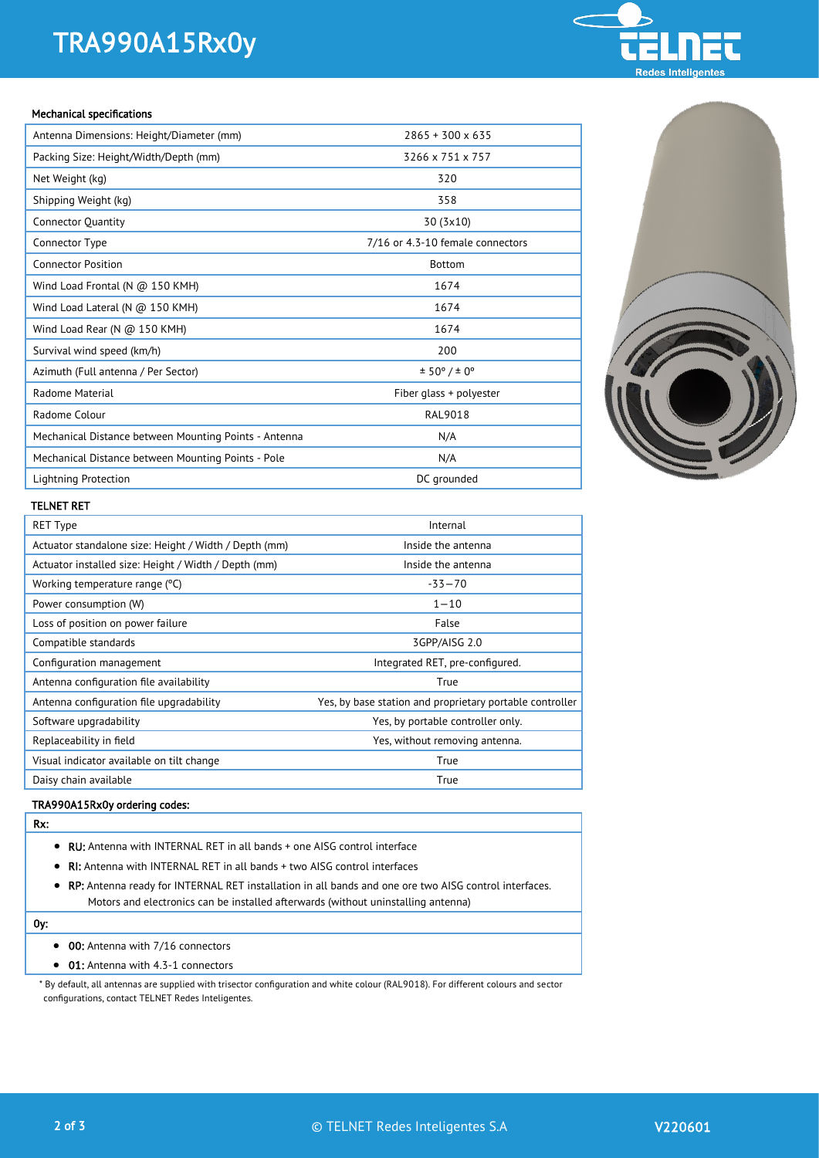# TRA990A15Rx0y

# **Redes Inteligen**

#### Mechanical specifications

| Antenna Dimensions: Height/Diameter (mm)              | $2865 + 300 \times 635$          |
|-------------------------------------------------------|----------------------------------|
| Packing Size: Height/Width/Depth (mm)                 | 3266 x 751 x 757                 |
| Net Weight (kg)                                       | 320                              |
| Shipping Weight (kg)                                  | 358                              |
| <b>Connector Quantity</b>                             | 30 (3x10)                        |
| Connector Type                                        | 7/16 or 4.3-10 female connectors |
| <b>Connector Position</b>                             | <b>Bottom</b>                    |
| Wind Load Frontal (N $@$ 150 KMH)                     | 1674                             |
| Wind Load Lateral (N $@$ 150 KMH)                     | 1674                             |
| Wind Load Rear (N $@$ 150 KMH)                        | 1674                             |
| Survival wind speed (km/h)                            | 200                              |
| Azimuth (Full antenna / Per Sector)                   | ± 50° / ± 0°                     |
| Radome Material                                       | Fiber glass + polyester          |
| Radome Colour                                         | <b>RAL9018</b>                   |
| Mechanical Distance between Mounting Points - Antenna | N/A                              |
| Mechanical Distance between Mounting Points - Pole    | N/A                              |
| Lightning Protection                                  | DC grounded                      |



#### TELNET RET

| <b>RET Type</b>                                       | Internal                                                 |
|-------------------------------------------------------|----------------------------------------------------------|
| Actuator standalone size: Height / Width / Depth (mm) | Inside the antenna                                       |
| Actuator installed size: Height / Width / Depth (mm)  | Inside the antenna                                       |
| Working temperature range (°C)                        | $-33 - 70$                                               |
| Power consumption (W)                                 | $1 - 10$                                                 |
| Loss of position on power failure                     | False                                                    |
| Compatible standards                                  | 3GPP/AISG 2.0                                            |
| Configuration management                              | Integrated RET, pre-configured.                          |
| Antenna configuration file availability               | True                                                     |
| Antenna configuration file upgradability              | Yes, by base station and proprietary portable controller |
| Software upgradability                                | Yes, by portable controller only.                        |
| Replaceability in field                               | Yes, without removing antenna.                           |
| Visual indicator available on tilt change             | True                                                     |
| Daisy chain available                                 | True                                                     |

## TRA990A15Rx0y ordering codes:

# Rx:

- RU: Antenna with INTERNAL RET in all bands + one AISG control interface
- RI: Antenna with INTERNAL RET in all bands + two AISG control interfaces
- RP: Antenna ready for INTERNAL RET installation in all bands and one ore two AISG control interfaces. Motors and electronics can be installed afterwards (without uninstalling antenna)

### 0y:

- 00: Antenna with 7/16 connectors
- 01: Antenna with 4.3-1 connectors

\* By default, all antennas are supplied with trisector configuration and white colour (RAL9018). For different colours and sector configurations, contact TELNET Redes Inteligentes.